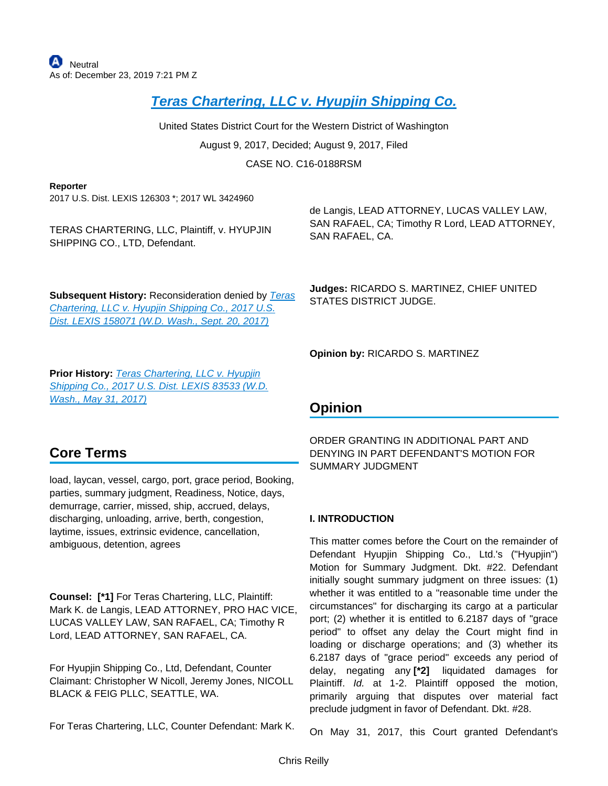**[Teras Chartering, LLC v. Hyupjin Shipping Co.](https://advance.lexis.com/api/document?collection=cases&id=urn:contentItem:5P6S-F5D1-F04F-J04F-00000-00&context=)**

United States District Court for the Western District of Washington August 9, 2017, Decided; August 9, 2017, Filed CASE NO. C16-0188RSM

**Reporter**

2017 U.S. Dist. LEXIS 126303 \*; 2017 WL 3424960

TERAS CHARTERING, LLC, Plaintiff, v. HYUPJIN SHIPPING CO., LTD, Defendant.

**Subsequent History: Reconsideration denied by Teras** [Chartering, LLC v. Hyupjin Shipping Co., 2017 U.S.](https://advance.lexis.com/api/document?collection=cases&id=urn:contentItem:5PHR-6H91-F04F-J2MX-00000-00&context=)  [Dist. LEXIS 158071 \(W.D. Wash., Sept. 20, 2017\)](https://advance.lexis.com/api/document?collection=cases&id=urn:contentItem:5PHR-6H91-F04F-J2MX-00000-00&context=)

Prior History: Teras Chartering, LLC v. Hyupjin [Shipping Co., 2017 U.S. Dist. LEXIS 83533 \(W.D.](https://advance.lexis.com/api/document?collection=cases&id=urn:contentItem:5NNY-7J51-F04F-J1B9-00000-00&context=)  [Wash., May 31, 2017\)](https://advance.lexis.com/api/document?collection=cases&id=urn:contentItem:5NNY-7J51-F04F-J1B9-00000-00&context=)

# **Core Terms**

load, laycan, vessel, cargo, port, grace period, Booking, parties, summary judgment, Readiness, Notice, days, demurrage, carrier, missed, ship, accrued, delays, discharging, unloading, arrive, berth, congestion, laytime, issues, extrinsic evidence, cancellation, ambiguous, detention, agrees

**Counsel: [\*1]** For Teras Chartering, LLC, Plaintiff: Mark K. de Langis, LEAD ATTORNEY, PRO HAC VICE, LUCAS VALLEY LAW, SAN RAFAEL, CA; Timothy R Lord, LEAD ATTORNEY, SAN RAFAEL, CA.

For Hyupjin Shipping Co., Ltd, Defendant, Counter Claimant: Christopher W Nicoll, Jeremy Jones, NICOLL BLACK & FEIG PLLC, SEATTLE, WA.

For Teras Chartering, LLC, Counter Defendant: Mark K.

de Langis, LEAD ATTORNEY, LUCAS VALLEY LAW, SAN RAFAEL, CA; Timothy R Lord, LEAD ATTORNEY, SAN RAFAEL, CA.

**Judges:** RICARDO S. MARTINEZ, CHIEF UNITED STATES DISTRICT JUDGE.

**Opinion by:** RICARDO S. MARTINEZ

# **Opinion**

ORDER GRANTING IN ADDITIONAL PART AND DENYING IN PART DEFENDANT'S MOTION FOR SUMMARY JUDGMENT

# **I. INTRODUCTION**

This matter comes before the Court on the remainder of Defendant Hyupjin Shipping Co., Ltd.'s ("Hyupjin") Motion for Summary Judgment. Dkt. #22. Defendant initially sought summary judgment on three issues: (1) whether it was entitled to a "reasonable time under the circumstances" for discharging its cargo at a particular port; (2) whether it is entitled to 6.2187 days of "grace period" to offset any delay the Court might find in loading or discharge operations; and (3) whether its 6.2187 days of "grace period" exceeds any period of delay, negating any **[\*2]** liquidated damages for Plaintiff. Id. at 1-2. Plaintiff opposed the motion, primarily arguing that disputes over material fact preclude judgment in favor of Defendant. Dkt. #28.

On May 31, 2017, this Court granted Defendant's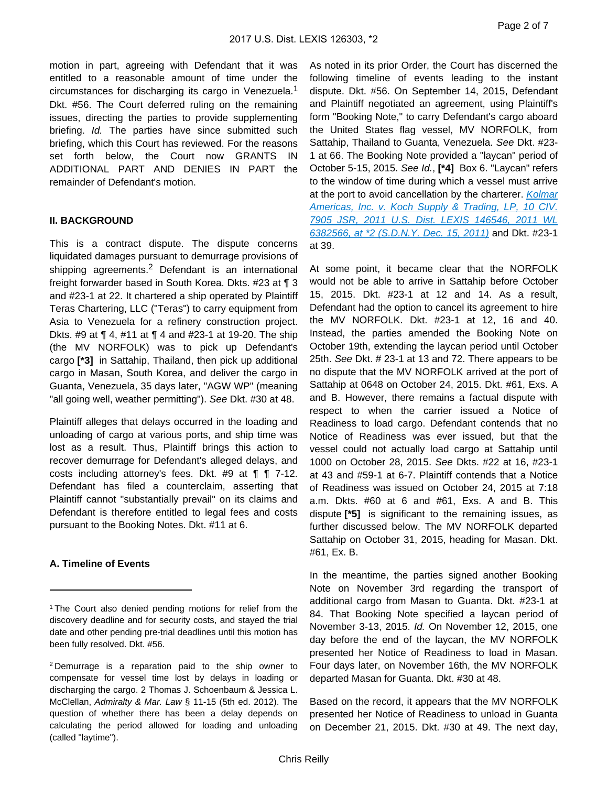motion in part, agreeing with Defendant that it was entitled to a reasonable amount of time under the circumstances for discharging its cargo in Venezuela.<sup>1</sup> Dkt. #56. The Court deferred ruling on the remaining issues, directing the parties to provide supplementing briefing. Id. The parties have since submitted such briefing, which this Court has reviewed. For the reasons set forth below, the Court now GRANTS IN ADDITIONAL PART AND DENIES IN PART the remainder of Defendant's motion.

#### **II. BACKGROUND**

This is a contract dispute. The dispute concerns liquidated damages pursuant to demurrage provisions of shipping agreements.<sup>2</sup> Defendant is an international freight forwarder based in South Korea. Dkts. #23 at ¶ 3 and #23-1 at 22. It chartered a ship operated by Plaintiff Teras Chartering, LLC ("Teras") to carry equipment from Asia to Venezuela for a refinery construction project. Dkts. #9 at ¶ 4, #11 at ¶ 4 and #23-1 at 19-20. The ship (the MV NORFOLK) was to pick up Defendant's cargo **[\*3]** in Sattahip, Thailand, then pick up additional cargo in Masan, South Korea, and deliver the cargo in Guanta, Venezuela, 35 days later, "AGW WP" (meaning "all going well, weather permitting"). See Dkt. #30 at 48.

Plaintiff alleges that delays occurred in the loading and unloading of cargo at various ports, and ship time was lost as a result. Thus, Plaintiff brings this action to recover demurrage for Defendant's alleged delays, and costs including attorney's fees. Dkt. #9 at ¶ ¶ 7-12. Defendant has filed a counterclaim, asserting that Plaintiff cannot "substantially prevail" on its claims and Defendant is therefore entitled to legal fees and costs pursuant to the Booking Notes. Dkt. #11 at 6.

#### **A. Timeline of Events**

As noted in its prior Order, the Court has discerned the following timeline of events leading to the instant dispute. Dkt. #56. On September 14, 2015, Defendant and Plaintiff negotiated an agreement, using Plaintiff's form "Booking Note," to carry Defendant's cargo aboard the United States flag vessel, MV NORFOLK, from Sattahip, Thailand to Guanta, Venezuela. See Dkt. #23- 1 at 66. The Booking Note provided a "laycan" period of October 5-15, 2015. See Id., **[\*4]** Box 6. "Laycan" refers to the window of time during which a vessel must arrive at the port to avoid cancellation by the charterer. Kolmar Americas, Inc. v. Koch Supply & Trading, LP, 10 CIV. [7905 JSR, 2011 U.S. Dist. LEXIS 146546, 2011 WL](https://advance.lexis.com/api/document?collection=cases&id=urn:contentItem:54J2-BFY1-F04F-02D7-00000-00&context=)  [6382566, at \\*2 \(S.D.N.Y. Dec. 15, 2011\)](https://advance.lexis.com/api/document?collection=cases&id=urn:contentItem:54J2-BFY1-F04F-02D7-00000-00&context=) and Dkt. #23-1 at 39.

At some point, it became clear that the NORFOLK would not be able to arrive in Sattahip before October 15, 2015. Dkt. #23-1 at 12 and 14. As a result, Defendant had the option to cancel its agreement to hire the MV NORFOLK. Dkt. #23-1 at 12, 16 and 40. Instead, the parties amended the Booking Note on October 19th, extending the laycan period until October 25th. See Dkt. # 23-1 at 13 and 72. There appears to be no dispute that the MV NORFOLK arrived at the port of Sattahip at 0648 on October 24, 2015. Dkt. #61, Exs. A and B. However, there remains a factual dispute with respect to when the carrier issued a Notice of Readiness to load cargo. Defendant contends that no Notice of Readiness was ever issued, but that the vessel could not actually load cargo at Sattahip until 1000 on October 28, 2015. See Dkts. #22 at 16, #23-1 at 43 and #59-1 at 6-7. Plaintiff contends that a Notice of Readiness was issued on October 24, 2015 at 7:18 a.m. Dkts. #60 at 6 and #61, Exs. A and B. This dispute **[\*5]** is significant to the remaining issues, as further discussed below. The MV NORFOLK departed Sattahip on October 31, 2015, heading for Masan. Dkt. #61, Ex. B.

In the meantime, the parties signed another Booking Note on November 3rd regarding the transport of additional cargo from Masan to Guanta. Dkt. #23-1 at 84. That Booking Note specified a laycan period of November 3-13, 2015. Id. On November 12, 2015, one day before the end of the laycan, the MV NORFOLK presented her Notice of Readiness to load in Masan. Four days later, on November 16th, the MV NORFOLK departed Masan for Guanta. Dkt. #30 at 48.

Based on the record, it appears that the MV NORFOLK presented her Notice of Readiness to unload in Guanta on December 21, 2015. Dkt. #30 at 49. The next day,

<sup>1</sup>The Court also denied pending motions for relief from the discovery deadline and for security costs, and stayed the trial date and other pending pre-trial deadlines until this motion has been fully resolved. Dkt. #56.

<sup>2</sup>Demurrage is a reparation paid to the ship owner to compensate for vessel time lost by delays in loading or discharging the cargo. 2 Thomas J. Schoenbaum & Jessica L. McClellan, Admiralty & Mar. Law § 11-15 (5th ed. 2012). The question of whether there has been a delay depends on calculating the period allowed for loading and unloading (called "laytime").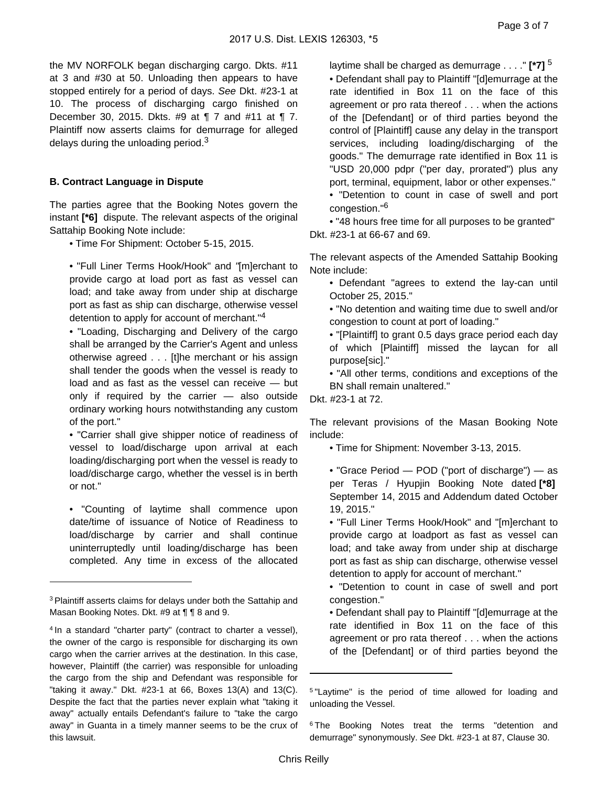the MV NORFOLK began discharging cargo. Dkts. #11 at 3 and #30 at 50. Unloading then appears to have stopped entirely for a period of days. See Dkt. #23-1 at 10. The process of discharging cargo finished on December 30, 2015. Dkts. #9 at ¶ 7 and #11 at ¶ 7. Plaintiff now asserts claims for demurrage for alleged delays during the unloading period. $3$ 

## **B. Contract Language in Dispute**

The parties agree that the Booking Notes govern the instant **[\*6]** dispute. The relevant aspects of the original Sattahip Booking Note include:

• Time For Shipment: October 5-15, 2015.

• "Full Liner Terms Hook/Hook" and "[m]erchant to provide cargo at load port as fast as vessel can load; and take away from under ship at discharge port as fast as ship can discharge, otherwise vessel detention to apply for account of merchant."<sup>4</sup>

• "Loading, Discharging and Delivery of the cargo shall be arranged by the Carrier's Agent and unless otherwise agreed . . . [t]he merchant or his assign shall tender the goods when the vessel is ready to load and as fast as the vessel can receive — but only if required by the carrier — also outside ordinary working hours notwithstanding any custom of the port."

• "Carrier shall give shipper notice of readiness of vessel to load/discharge upon arrival at each loading/discharging port when the vessel is ready to load/discharge cargo, whether the vessel is in berth or not."

• "Counting of laytime shall commence upon date/time of issuance of Notice of Readiness to load/discharge by carrier and shall continue uninterruptedly until loading/discharge has been completed. Any time in excess of the allocated

laytime shall be charged as demurrage . . . ." **[\*7]** <sup>5</sup> • Defendant shall pay to Plaintiff "[d]emurrage at the rate identified in Box 11 on the face of this agreement or pro rata thereof . . . when the actions of the [Defendant] or of third parties beyond the control of [Plaintiff] cause any delay in the transport services, including loading/discharging of the goods." The demurrage rate identified in Box 11 is "USD 20,000 pdpr ("per day, prorated") plus any port, terminal, equipment, labor or other expenses."

• "Detention to count in case of swell and port congestion."<sup>6</sup>

• "48 hours free time for all purposes to be granted" Dkt. #23-1 at 66-67 and 69.

The relevant aspects of the Amended Sattahip Booking Note include:

• Defendant "agrees to extend the lay-can until October 25, 2015."

• "No detention and waiting time due to swell and/or congestion to count at port of loading."

• "[Plaintiff] to grant 0.5 days grace period each day of which [Plaintiff] missed the laycan for all purpose[sic]."

• "All other terms, conditions and exceptions of the BN shall remain unaltered."

Dkt. #23-1 at 72.

The relevant provisions of the Masan Booking Note include:

• Time for Shipment: November 3-13, 2015.

• "Grace Period — POD ("port of discharge") — as per Teras / Hyupjin Booking Note dated **[\*8]**  September 14, 2015 and Addendum dated October 19, 2015."

• "Full Liner Terms Hook/Hook" and "[m]erchant to provide cargo at loadport as fast as vessel can load; and take away from under ship at discharge port as fast as ship can discharge, otherwise vessel detention to apply for account of merchant."

• "Detention to count in case of swell and port congestion."

• Defendant shall pay to Plaintiff "[d]emurrage at the rate identified in Box 11 on the face of this agreement or pro rata thereof . . . when the actions of the [Defendant] or of third parties beyond the

<sup>&</sup>lt;sup>3</sup> Plaintiff asserts claims for delays under both the Sattahip and Masan Booking Notes. Dkt. #9 at ¶ 18 and 9.

<sup>&</sup>lt;sup>4</sup>In a standard "charter party" (contract to charter a vessel), the owner of the cargo is responsible for discharging its own cargo when the carrier arrives at the destination. In this case, however, Plaintiff (the carrier) was responsible for unloading the cargo from the ship and Defendant was responsible for "taking it away." Dkt. #23-1 at 66, Boxes 13(A) and 13(C). Despite the fact that the parties never explain what "taking it away" actually entails Defendant's failure to "take the cargo away" in Guanta in a timely manner seems to be the crux of this lawsuit.

<sup>5</sup>"Laytime" is the period of time allowed for loading and unloading the Vessel.

<sup>&</sup>lt;sup>6</sup>The Booking Notes treat the terms "detention and demurrage" synonymously. See Dkt. #23-1 at 87, Clause 30.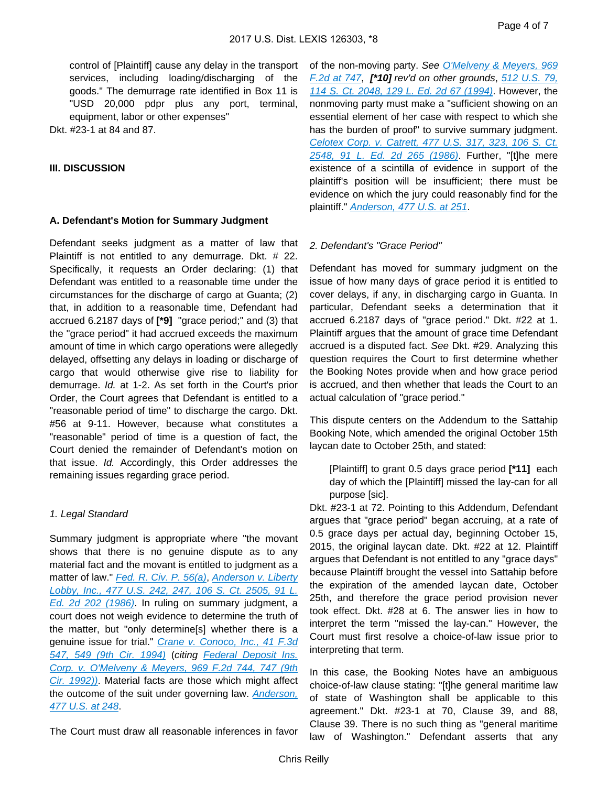control of [Plaintiff] cause any delay in the transport services, including loading/discharging of the goods." The demurrage rate identified in Box 11 is "USD 20,000 pdpr plus any port, terminal, equipment, labor or other expenses"

Dkt. #23-1 at 84 and 87.

#### **III. DISCUSSION**

#### **A. Defendant's Motion for Summary Judgment**

Defendant seeks judgment as a matter of law that Plaintiff is not entitled to any demurrage. Dkt. # 22. Specifically, it requests an Order declaring: (1) that Defendant was entitled to a reasonable time under the circumstances for the discharge of cargo at Guanta; (2) that, in addition to a reasonable time, Defendant had accrued 6.2187 days of **[\*9]** "grace period;" and (3) that the "grace period" it had accrued exceeds the maximum amount of time in which cargo operations were allegedly delayed, offsetting any delays in loading or discharge of cargo that would otherwise give rise to liability for demurrage. Id. at 1-2. As set forth in the Court's prior Order, the Court agrees that Defendant is entitled to a "reasonable period of time" to discharge the cargo. Dkt. #56 at 9-11. However, because what constitutes a "reasonable" period of time is a question of fact, the Court denied the remainder of Defendant's motion on that issue. Id. Accordingly, this Order addresses the remaining issues regarding grace period.

# 1. Legal Standard

Summary judgment is appropriate where "the movant shows that there is no genuine dispute as to any material fact and the movant is entitled to judgment as a matter of law." [Fed. R. Civ. P. 56\(a\)](https://advance.lexis.com/api/document?collection=statutes-legislation&id=urn:contentItem:5GYC-2421-6N19-F165-00000-00&context=), Anderson v. Liberty [Lobby, Inc., 477 U.S. 242, 247, 106 S. Ct. 2505, 91 L.](https://advance.lexis.com/api/document?collection=cases&id=urn:contentItem:3S4X-6H80-0039-N37M-00000-00&context=)  [Ed. 2d 202 \(1986\)](https://advance.lexis.com/api/document?collection=cases&id=urn:contentItem:3S4X-6H80-0039-N37M-00000-00&context=). In ruling on summary judgment, a court does not weigh evidence to determine the truth of the matter, but "only determine[s] whether there is a genuine issue for trial." Crane v. Conoco, Inc., 41 F.3d [547, 549 \(9th Cir. 1994\)](https://advance.lexis.com/api/document?collection=cases&id=urn:contentItem:3S4X-0NW0-003B-P47N-00000-00&context=) (citing Federal Deposit Ins. [Corp. v. O'Melveny & Meyers, 969 F.2d 744, 747 \(9th](https://advance.lexis.com/api/document?collection=cases&id=urn:contentItem:3S4X-2TW0-008H-V165-00000-00&context=)  [Cir. 1992\)\)](https://advance.lexis.com/api/document?collection=cases&id=urn:contentItem:3S4X-2TW0-008H-V165-00000-00&context=). Material facts are those which might affect the outcome of the suit under governing law. **Anderson**, [477 U.S. at 248](https://advance.lexis.com/api/document?collection=cases&id=urn:contentItem:3S4X-6H80-0039-N37M-00000-00&context=).

The Court must draw all reasonable inferences in favor

of the non-moving party. See O'Melveny & Meyers, 969 [F.2d at 747](https://advance.lexis.com/api/document?collection=cases&id=urn:contentItem:3S4X-2TW0-008H-V165-00000-00&context=), **[\*10]** rev'd on other grounds, [512 U.S. 79,](https://advance.lexis.com/api/document?collection=cases&id=urn:contentItem:3S65-JVJ0-003B-R09N-00000-00&context=)  [114 S. Ct. 2048, 129 L. Ed. 2d 67 \(1994\)](https://advance.lexis.com/api/document?collection=cases&id=urn:contentItem:3S65-JVJ0-003B-R09N-00000-00&context=). However, the nonmoving party must make a "sufficient showing on an essential element of her case with respect to which she has the burden of proof" to survive summary judgment. [Celotex Corp. v. Catrett, 477 U.S. 317, 323, 106 S. Ct.](https://advance.lexis.com/api/document?collection=cases&id=urn:contentItem:3S4X-6HC0-0039-N37R-00000-00&context=)  [2548, 91 L. Ed. 2d 265 \(1986\)](https://advance.lexis.com/api/document?collection=cases&id=urn:contentItem:3S4X-6HC0-0039-N37R-00000-00&context=). Further, "[t]he mere existence of a scintilla of evidence in support of the plaintiff's position will be insufficient; there must be evidence on which the jury could reasonably find for the plaintiff." [Anderson, 477 U.S. at 251](https://advance.lexis.com/api/document?collection=cases&id=urn:contentItem:3S4X-6H80-0039-N37M-00000-00&context=).

# 2. Defendant's "Grace Period"

Defendant has moved for summary judgment on the issue of how many days of grace period it is entitled to cover delays, if any, in discharging cargo in Guanta. In particular, Defendant seeks a determination that it accrued 6.2187 days of "grace period." Dkt. #22 at 1. Plaintiff argues that the amount of grace time Defendant accrued is a disputed fact. See Dkt. #29. Analyzing this question requires the Court to first determine whether the Booking Notes provide when and how grace period is accrued, and then whether that leads the Court to an actual calculation of "grace period."

This dispute centers on the Addendum to the Sattahip Booking Note, which amended the original October 15th laycan date to October 25th, and stated:

[Plaintiff] to grant 0.5 days grace period **[\*11]** each day of which the [Plaintiff] missed the lay-can for all purpose [sic].

Dkt. #23-1 at 72. Pointing to this Addendum, Defendant argues that "grace period" began accruing, at a rate of 0.5 grace days per actual day, beginning October 15, 2015, the original laycan date. Dkt. #22 at 12. Plaintiff argues that Defendant is not entitled to any "grace days" because Plaintiff brought the vessel into Sattahip before the expiration of the amended laycan date, October 25th, and therefore the grace period provision never took effect. Dkt. #28 at 6. The answer lies in how to interpret the term "missed the lay-can." However, the Court must first resolve a choice-of-law issue prior to interpreting that term.

In this case, the Booking Notes have an ambiguous choice-of-law clause stating: "[t]he general maritime law of state of Washington shall be applicable to this agreement." Dkt. #23-1 at 70, Clause 39, and 88, Clause 39. There is no such thing as "general maritime law of Washington." Defendant asserts that any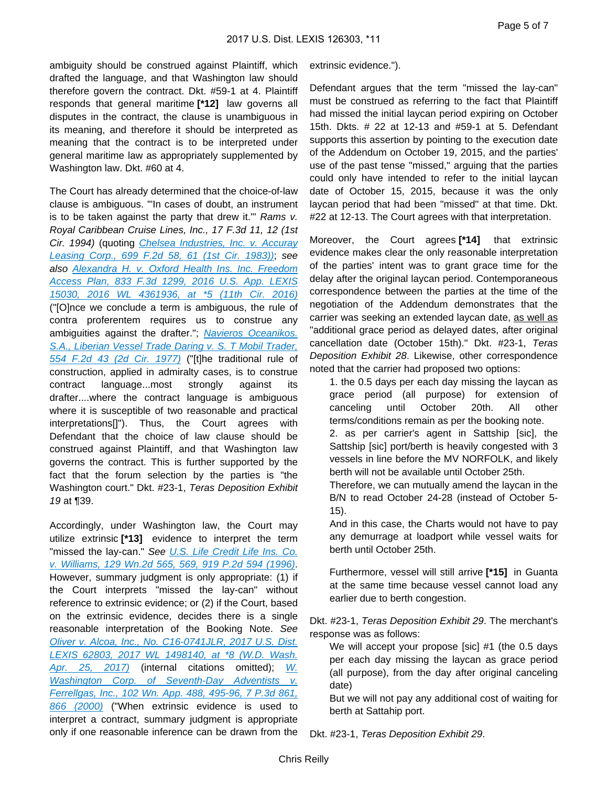ambiguity should be construed against Plaintiff, which drafted the language, and that Washington law should therefore govern the contract. Dkt. #59-1 at 4. Plaintiff responds that general maritime **[\*12]** law governs all disputes in the contract, the clause is unambiguous in its meaning, and therefore it should be interpreted as meaning that the contract is to be interpreted under general maritime law as appropriately supplemented by Washington law. Dkt. #60 at 4.

The Court has already determined that the choice-of-law clause is ambiguous. "'In cases of doubt, an instrument is to be taken against the party that drew it." Rams  $v$ . Royal Caribbean Cruise Lines, Inc., 17 F.3d 11, 12 (1st Cir. 1994) (quoting [Chelsea Industries, Inc. v. Accuray](https://advance.lexis.com/api/document?collection=cases&id=urn:contentItem:3S4X-0RP0-003B-G3K4-00000-00&context=)  [Leasing Corp., 699 F.2d 58, 61 \(1st Cir. 1983\)\)](https://advance.lexis.com/api/document?collection=cases&id=urn:contentItem:3S4X-0RP0-003B-G3K4-00000-00&context=); see also [Alexandra H. v. Oxford Health Ins. Inc. Freedom](https://advance.lexis.com/api/document?collection=cases&id=urn:contentItem:5KGC-WV61-F04K-X19B-00000-00&context=)  [Access Plan, 833 F.3d 1299, 2016 U.S. App. LEXIS](https://advance.lexis.com/api/document?collection=cases&id=urn:contentItem:5KGC-WV61-F04K-X19B-00000-00&context=)  [15030, 2016 WL 4361936, at \\*5 \(11th Cir. 2016\)](https://advance.lexis.com/api/document?collection=cases&id=urn:contentItem:5KGC-WV61-F04K-X19B-00000-00&context=) ("[O]nce we conclude a term is ambiguous, the rule of contra proferentem requires us to construe any ambiguities against the drafter."; Navieros Oceanikos. [S.A., Liberian Vessel Trade Daring v. S. T Mobil Trader,](https://advance.lexis.com/api/document?collection=cases&id=urn:contentItem:3S4X-0X70-0039-M3F7-00000-00&context=)  [554 F.2d 43 \(2d Cir. 1977\)](https://advance.lexis.com/api/document?collection=cases&id=urn:contentItem:3S4X-0X70-0039-M3F7-00000-00&context=) ("[t]he traditional rule of construction, applied in admiralty cases, is to construe contract language...most strongly against its drafter....where the contract language is ambiguous where it is susceptible of two reasonable and practical interpretations[]"). Thus, the Court agrees with Defendant that the choice of law clause should be construed against Plaintiff, and that Washington law governs the contract. This is further supported by the fact that the forum selection by the parties is "the Washington court." Dkt. #23-1, Teras Deposition Exhibit 19 at ¶39.

Accordingly, under Washington law, the Court may utilize extrinsic **[\*13]** evidence to interpret the term "missed the lay-can." See U.S. Life Credit Life Ins. Co. [v. Williams, 129 Wn.2d 565, 569, 919 P.2d 594 \(1996\)](https://advance.lexis.com/api/document?collection=cases&id=urn:contentItem:3RWN-D5C0-003F-W0J1-00000-00&context=). However, summary judgment is only appropriate: (1) if the Court interprets "missed the lay-can" without reference to extrinsic evidence; or (2) if the Court, based on the extrinsic evidence, decides there is a single reasonable interpretation of the Booking Note. See [Oliver v. Alcoa, Inc., No. C16-0741JLR, 2017 U.S. Dist.](https://advance.lexis.com/api/document?collection=cases&id=urn:contentItem:5ND7-T591-F04F-J008-00000-00&context=)  [LEXIS 62803, 2017 WL 1498140, at \\*8 \(W.D. Wash.](https://advance.lexis.com/api/document?collection=cases&id=urn:contentItem:5ND7-T591-F04F-J008-00000-00&context=)  [Apr. 25, 2017\)](https://advance.lexis.com/api/document?collection=cases&id=urn:contentItem:5ND7-T591-F04F-J008-00000-00&context=) (internal citations omitted); [W.](https://advance.lexis.com/api/document?collection=cases&id=urn:contentItem:4158-NP10-0039-41KW-00000-00&context=)  Washington Corp. of Seventh-Day Adventists v. [Ferrellgas, Inc., 102 Wn. App. 488, 495-96, 7 P.3d 861,](https://advance.lexis.com/api/document?collection=cases&id=urn:contentItem:4158-NP10-0039-41KW-00000-00&context=)  [866 \(2000\)](https://advance.lexis.com/api/document?collection=cases&id=urn:contentItem:4158-NP10-0039-41KW-00000-00&context=) ("When extrinsic evidence is used to interpret a contract, summary judgment is appropriate only if one reasonable inference can be drawn from the

extrinsic evidence.").

Defendant argues that the term "missed the lay-can" must be construed as referring to the fact that Plaintiff had missed the initial laycan period expiring on October 15th. Dkts. # 22 at 12-13 and #59-1 at 5. Defendant supports this assertion by pointing to the execution date of the Addendum on October 19, 2015, and the parties' use of the past tense "missed," arguing that the parties could only have intended to refer to the initial laycan date of October 15, 2015, because it was the only laycan period that had been "missed" at that time. Dkt. #22 at 12-13. The Court agrees with that interpretation.

Moreover, the Court agrees **[\*14]** that extrinsic evidence makes clear the only reasonable interpretation of the parties' intent was to grant grace time for the delay after the original laycan period. Contemporaneous correspondence between the parties at the time of the negotiation of the Addendum demonstrates that the carrier was seeking an extended laycan date, as well as "additional grace period as delayed dates, after original cancellation date (October 15th)." Dkt. #23-1, Teras Deposition Exhibit 28. Likewise, other correspondence noted that the carrier had proposed two options:

1. the 0.5 days per each day missing the laycan as grace period (all purpose) for extension of canceling until October 20th. All other terms/conditions remain as per the booking note.

2. as per carrier's agent in Sattship [sic], the Sattship [sic] port/berth is heavily congested with 3 vessels in line before the MV NORFOLK, and likely berth will not be available until October 25th.

Therefore, we can mutually amend the laycan in the B/N to read October 24-28 (instead of October 5- 15).

And in this case, the Charts would not have to pay any demurrage at loadport while vessel waits for berth until October 25th.

Furthermore, vessel will still arrive **[\*15]** in Guanta at the same time because vessel cannot load any earlier due to berth congestion.

Dkt. #23-1, Teras Deposition Exhibit 29. The merchant's response was as follows:

We will accept your propose [sic] #1 (the 0.5 days per each day missing the laycan as grace period (all purpose), from the day after original canceling date)

But we will not pay any additional cost of waiting for berth at Sattahip port.

Dkt. #23-1, Teras Deposition Exhibit 29.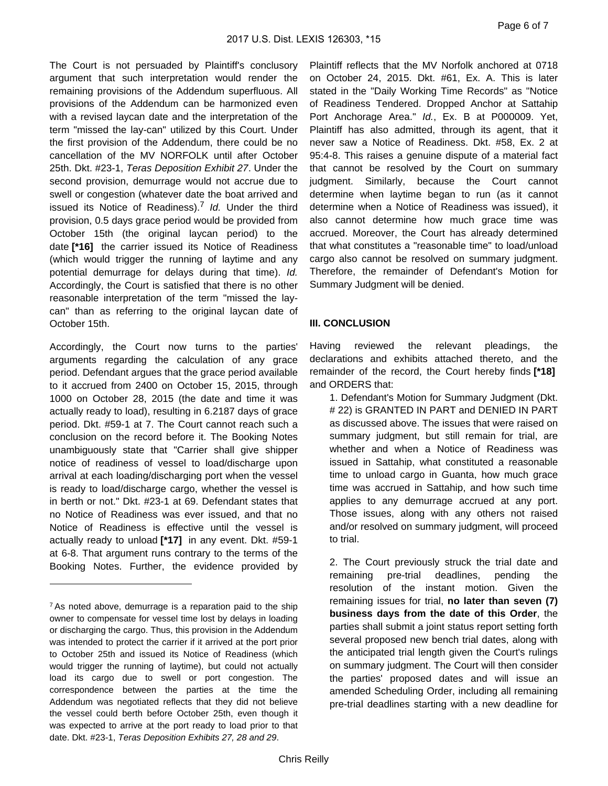The Court is not persuaded by Plaintiff's conclusory argument that such interpretation would render the remaining provisions of the Addendum superfluous. All provisions of the Addendum can be harmonized even with a revised laycan date and the interpretation of the term "missed the lay-can" utilized by this Court. Under the first provision of the Addendum, there could be no cancellation of the MV NORFOLK until after October 25th. Dkt. #23-1, Teras Deposition Exhibit 27. Under the second provision, demurrage would not accrue due to swell or congestion (whatever date the boat arrived and issued its Notice of Readiness).<sup>7</sup> Id. Under the third provision, 0.5 days grace period would be provided from October 15th (the original laycan period) to the date **[\*16]** the carrier issued its Notice of Readiness (which would trigger the running of laytime and any potential demurrage for delays during that time). Id. Accordingly, the Court is satisfied that there is no other reasonable interpretation of the term "missed the laycan" than as referring to the original laycan date of October 15th.

Accordingly, the Court now turns to the parties' arguments regarding the calculation of any grace period. Defendant argues that the grace period available to it accrued from 2400 on October 15, 2015, through 1000 on October 28, 2015 (the date and time it was actually ready to load), resulting in 6.2187 days of grace period. Dkt. #59-1 at 7. The Court cannot reach such a conclusion on the record before it. The Booking Notes unambiguously state that "Carrier shall give shipper notice of readiness of vessel to load/discharge upon arrival at each loading/discharging port when the vessel is ready to load/discharge cargo, whether the vessel is in berth or not." Dkt. #23-1 at 69. Defendant states that no Notice of Readiness was ever issued, and that no Notice of Readiness is effective until the vessel is actually ready to unload **[\*17]** in any event. Dkt. #59-1 at 6-8. That argument runs contrary to the terms of the Booking Notes. Further, the evidence provided by

Plaintiff reflects that the MV Norfolk anchored at 0718 on October 24, 2015. Dkt. #61, Ex. A. This is later stated in the "Daily Working Time Records" as "Notice of Readiness Tendered. Dropped Anchor at Sattahip Port Anchorage Area." Id., Ex. B at P000009. Yet, Plaintiff has also admitted, through its agent, that it never saw a Notice of Readiness. Dkt. #58, Ex. 2 at 95:4-8. This raises a genuine dispute of a material fact that cannot be resolved by the Court on summary judgment. Similarly, because the Court cannot determine when laytime began to run (as it cannot determine when a Notice of Readiness was issued), it also cannot determine how much grace time was accrued. Moreover, the Court has already determined that what constitutes a "reasonable time" to load/unload cargo also cannot be resolved on summary judgment. Therefore, the remainder of Defendant's Motion for Summary Judgment will be denied.

### **III. CONCLUSION**

Having reviewed the relevant pleadings, the declarations and exhibits attached thereto, and the remainder of the record, the Court hereby finds **[\*18]**  and ORDERS that:

1. Defendant's Motion for Summary Judgment (Dkt. # 22) is GRANTED IN PART and DENIED IN PART as discussed above. The issues that were raised on summary judgment, but still remain for trial, are whether and when a Notice of Readiness was issued in Sattahip, what constituted a reasonable time to unload cargo in Guanta, how much grace time was accrued in Sattahip, and how such time applies to any demurrage accrued at any port. Those issues, along with any others not raised and/or resolved on summary judgment, will proceed to trial.

2. The Court previously struck the trial date and remaining pre-trial deadlines, pending the resolution of the instant motion. Given the remaining issues for trial, **no later than seven (7) business days from the date of this Order**, the parties shall submit a joint status report setting forth several proposed new bench trial dates, along with the anticipated trial length given the Court's rulings on summary judgment. The Court will then consider the parties' proposed dates and will issue an amended Scheduling Order, including all remaining pre-trial deadlines starting with a new deadline for

<sup>7</sup>As noted above, demurrage is a reparation paid to the ship owner to compensate for vessel time lost by delays in loading or discharging the cargo. Thus, this provision in the Addendum was intended to protect the carrier if it arrived at the port prior to October 25th and issued its Notice of Readiness (which would trigger the running of laytime), but could not actually load its cargo due to swell or port congestion. The correspondence between the parties at the time the Addendum was negotiated reflects that they did not believe the vessel could berth before October 25th, even though it was expected to arrive at the port ready to load prior to that date. Dkt. #23-1, Teras Deposition Exhibits 27, 28 and 29.